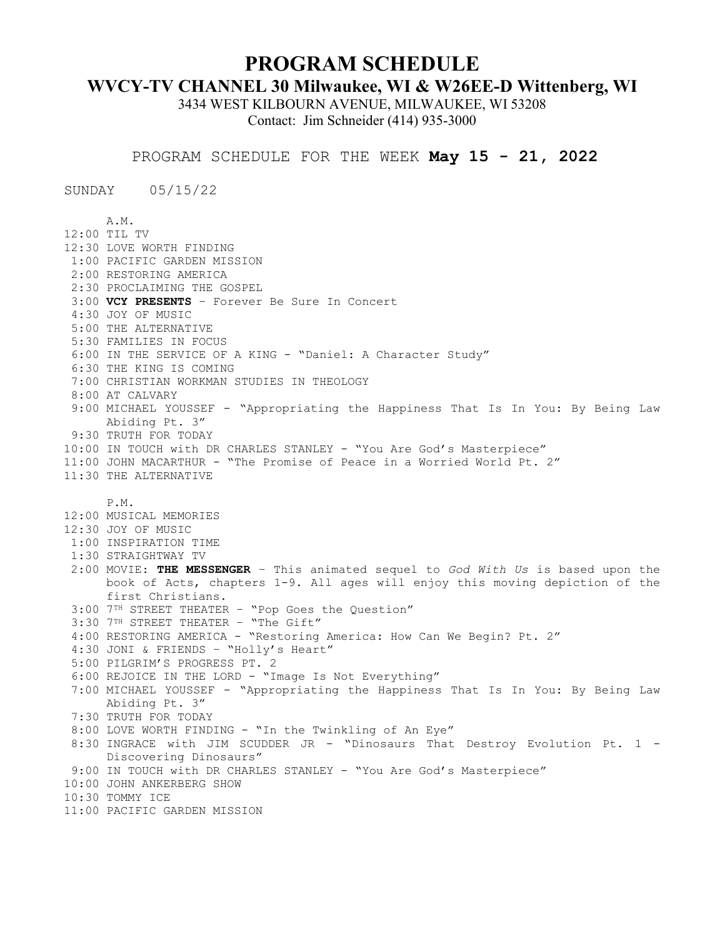## **PROGRAM SCHEDULE**

## **WVCY-TV CHANNEL 30 Milwaukee, WI & W26EE-D Wittenberg, WI**

3434 WEST KILBOURN AVENUE, MILWAUKEE, WI 53208 Contact: Jim Schneider (414) 935-3000

PROGRAM SCHEDULE FOR THE WEEK **May 15 - 21, 2022**

SUNDAY 05/15/22

A.M. 12:00 TIL TV 12:30 LOVE WORTH FINDING 1:00 PACIFIC GARDEN MISSION 2:00 RESTORING AMERICA 2:30 PROCLAIMING THE GOSPEL 3:00 **VCY PRESENTS** – Forever Be Sure In Concert 4:30 JOY OF MUSIC 5:00 THE ALTERNATIVE 5:30 FAMILIES IN FOCUS 6:00 IN THE SERVICE OF A KING - "Daniel: A Character Study" 6:30 THE KING IS COMING 7:00 CHRISTIAN WORKMAN STUDIES IN THEOLOGY 8:00 AT CALVARY 9:00 MICHAEL YOUSSEF - "Appropriating the Happiness That Is In You: By Being Law Abiding Pt. 3" 9:30 TRUTH FOR TODAY 10:00 IN TOUCH with DR CHARLES STANLEY - "You Are God's Masterpiece" 11:00 JOHN MACARTHUR - "The Promise of Peace in a Worried World Pt. 2" 11:30 THE ALTERNATIVE P.M. 12:00 MUSICAL MEMORIES 12:30 JOY OF MUSIC 1:00 INSPIRATION TIME 1:30 STRAIGHTWAY TV 2:00 MOVIE: **THE MESSENGER** – This animated sequel to *God With Us* is based upon the book of Acts, chapters 1-9. All ages will enjoy this moving depiction of the first Christians. 3:00 7TH STREET THEATER – "Pop Goes the Question" 3:30 7TH STREET THEATER – "The Gift" 4:00 RESTORING AMERICA - "Restoring America: How Can We Begin? Pt. 2" 4:30 JONI & FRIENDS – "Holly's Heart" 5:00 PILGRIM'S PROGRESS PT. 2 6:00 REJOICE IN THE LORD - "Image Is Not Everything" 7:00 MICHAEL YOUSSEF - "Appropriating the Happiness That Is In You: By Being Law Abiding Pt. 3" 7:30 TRUTH FOR TODAY 8:00 LOVE WORTH FINDING - "In the Twinkling of An Eye" 8:30 INGRACE with JIM SCUDDER JR - "Dinosaurs That Destroy Evolution Pt. 1 - Discovering Dinosaurs" 9:00 IN TOUCH with DR CHARLES STANLEY - "You Are God's Masterpiece" 10:00 JOHN ANKERBERG SHOW 10:30 TOMMY ICE 11:00 PACIFIC GARDEN MISSION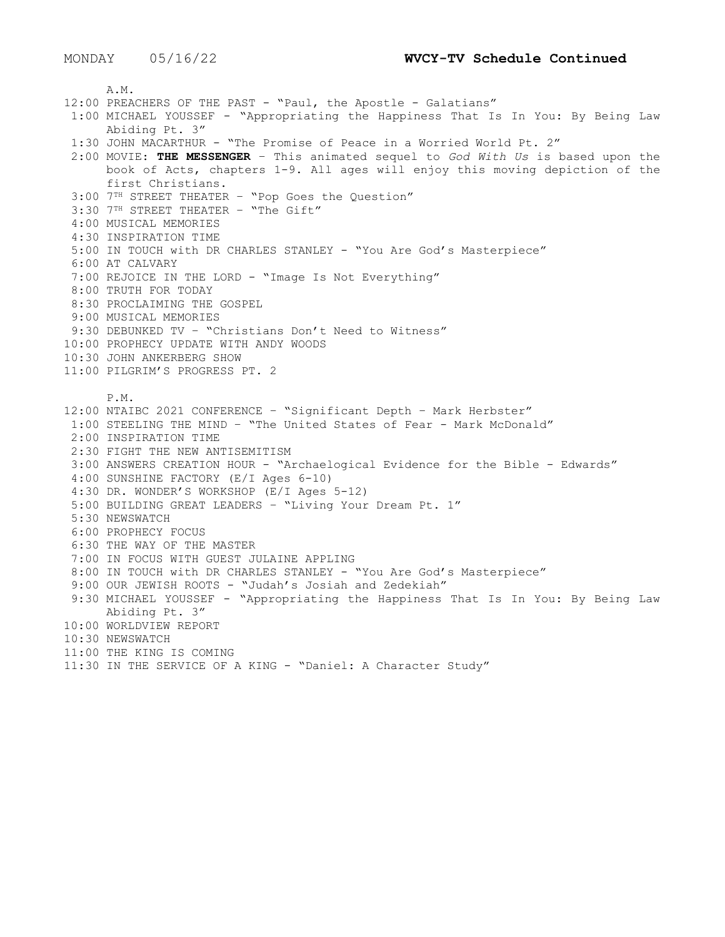A.M. 12:00 PREACHERS OF THE PAST - "Paul, the Apostle - Galatians" 1:00 MICHAEL YOUSSEF - "Appropriating the Happiness That Is In You: By Being Law Abiding Pt. 3" 1:30 JOHN MACARTHUR - "The Promise of Peace in a Worried World Pt. 2" 2:00 MOVIE: **THE MESSENGER** – This animated sequel to *God With Us* is based upon the book of Acts, chapters 1-9. All ages will enjoy this moving depiction of the first Christians. 3:00 7TH STREET THEATER – "Pop Goes the Question" 3:30 7<sup>TH</sup> STREET THEATER - "The Gift" 4:00 MUSICAL MEMORIES 4:30 INSPIRATION TIME 5:00 IN TOUCH with DR CHARLES STANLEY - "You Are God's Masterpiece" 6:00 AT CALVARY 7:00 REJOICE IN THE LORD - "Image Is Not Everything" 8:00 TRUTH FOR TODAY 8:30 PROCLAIMING THE GOSPEL 9:00 MUSICAL MEMORIES 9:30 DEBUNKED TV – "Christians Don't Need to Witness" 10:00 PROPHECY UPDATE WITH ANDY WOODS 10:30 JOHN ANKERBERG SHOW 11:00 PILGRIM'S PROGRESS PT. 2 P.M. 12:00 NTAIBC 2021 CONFERENCE – "Significant Depth – Mark Herbster" 1:00 STEELING THE MIND – "The United States of Fear - Mark McDonald" 2:00 INSPIRATION TIME 2:30 FIGHT THE NEW ANTISEMITISM 3:00 ANSWERS CREATION HOUR - "Archaelogical Evidence for the Bible - Edwards" 4:00 SUNSHINE FACTORY (E/I Ages 6-10) 4:30 DR. WONDER'S WORKSHOP (E/I Ages 5-12) 5:00 BUILDING GREAT LEADERS – "Living Your Dream Pt. 1" 5:30 NEWSWATCH 6:00 PROPHECY FOCUS 6:30 THE WAY OF THE MASTER 7:00 IN FOCUS WITH GUEST JULAINE APPLING 8:00 IN TOUCH with DR CHARLES STANLEY - "You Are God's Masterpiece" 9:00 OUR JEWISH ROOTS - "Judah's Josiah and Zedekiah" 9:30 MICHAEL YOUSSEF - "Appropriating the Happiness That Is In You: By Being Law Abiding Pt. 3" 10:00 WORLDVIEW REPORT 10:30 NEWSWATCH 11:00 THE KING IS COMING 11:30 IN THE SERVICE OF A KING - "Daniel: A Character Study"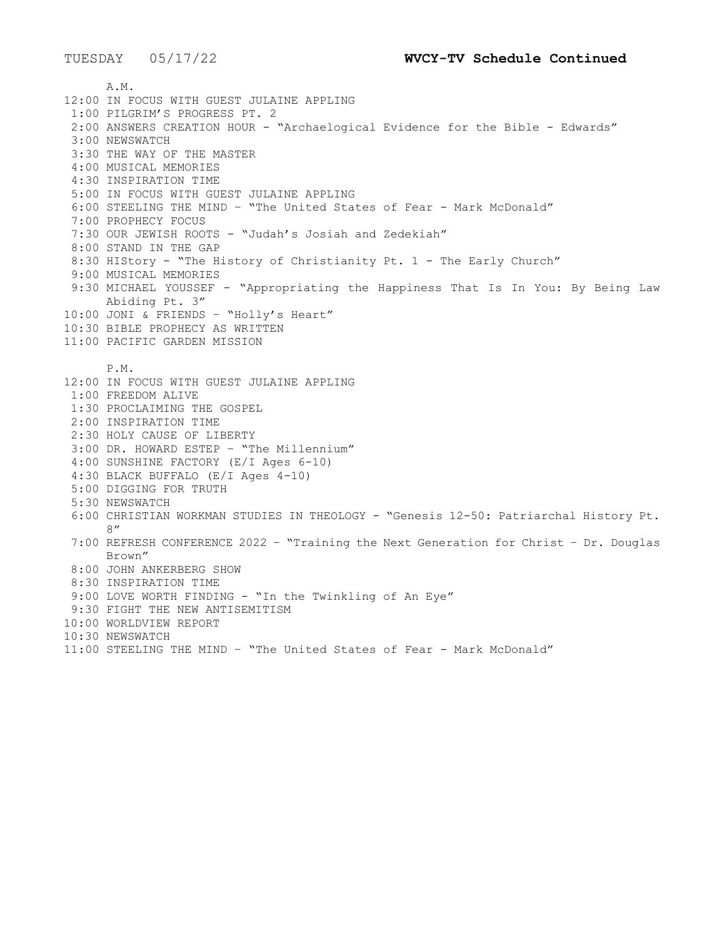A.M. 12:00 IN FOCUS WITH GUEST JULAINE APPLING 1:00 PILGRIM'S PROGRESS PT. 2 2:00 ANSWERS CREATION HOUR - "Archaelogical Evidence for the Bible - Edwards" 3:00 NEWSWATCH 3:30 THE WAY OF THE MASTER 4:00 MUSICAL MEMORIES 4:30 INSPIRATION TIME 5:00 IN FOCUS WITH GUEST JULAINE APPLING 6:00 STEELING THE MIND – "The United States of Fear - Mark McDonald" 7:00 PROPHECY FOCUS 7:30 OUR JEWISH ROOTS - "Judah's Josiah and Zedekiah" 8:00 STAND IN THE GAP 8:30 HIStory - "The History of Christianity Pt. 1 - The Early Church" 9:00 MUSICAL MEMORIES 9:30 MICHAEL YOUSSEF - "Appropriating the Happiness That Is In You: By Being Law Abiding Pt. 3" 10:00 JONI & FRIENDS – "Holly's Heart" 10:30 BIBLE PROPHECY AS WRITTEN 11:00 PACIFIC GARDEN MISSION P.M. 12:00 IN FOCUS WITH GUEST JULAINE APPLING 1:00 FREEDOM ALIVE 1:30 PROCLAIMING THE GOSPEL 2:00 INSPIRATION TIME 2:30 HOLY CAUSE OF LIBERTY 3:00 DR. HOWARD ESTEP – "The Millennium" 4:00 SUNSHINE FACTORY (E/I Ages 6-10) 4:30 BLACK BUFFALO (E/I Ages 4-10) 5:00 DIGGING FOR TRUTH 5:30 NEWSWATCH 6:00 CHRISTIAN WORKMAN STUDIES IN THEOLOGY - "Genesis 12-50: Patriarchal History Pt. 8" 7:00 REFRESH CONFERENCE 2022 – "Training the Next Generation for Christ – Dr. Douglas Brown" 8:00 JOHN ANKERBERG SHOW 8:30 INSPIRATION TIME 9:00 LOVE WORTH FINDING - "In the Twinkling of An Eye" 9:30 FIGHT THE NEW ANTISEMITISM 10:00 WORLDVIEW REPORT 10:30 NEWSWATCH 11:00 STEELING THE MIND – "The United States of Fear - Mark McDonald"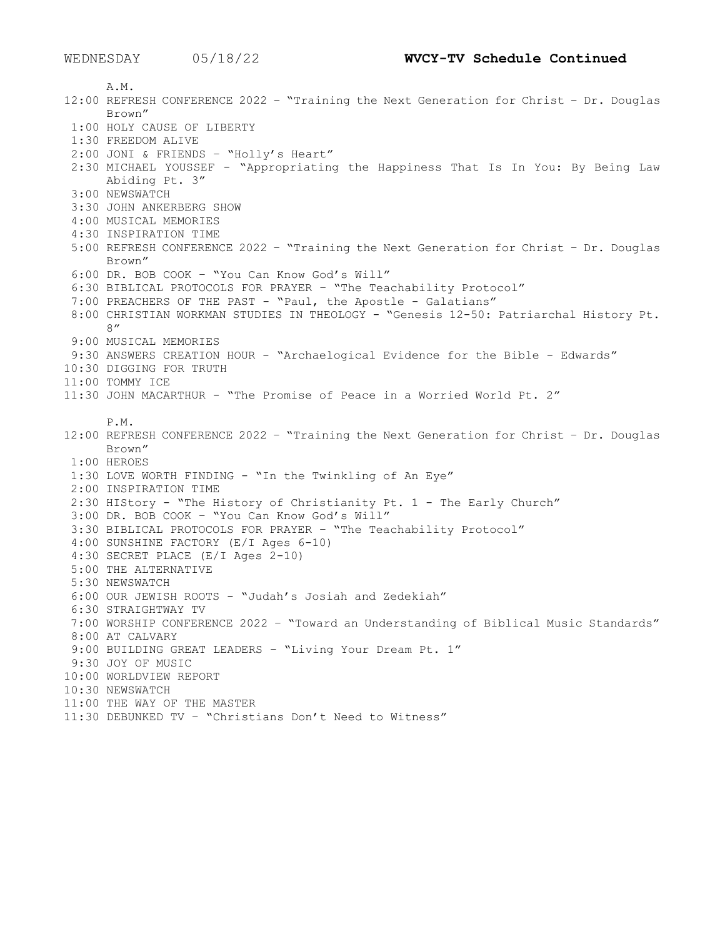A.M. 12:00 REFRESH CONFERENCE 2022 – "Training the Next Generation for Christ – Dr. Douglas Brown" 1:00 HOLY CAUSE OF LIBERTY 1:30 FREEDOM ALIVE 2:00 JONI & FRIENDS – "Holly's Heart" 2:30 MICHAEL YOUSSEF - "Appropriating the Happiness That Is In You: By Being Law Abiding Pt. 3" 3:00 NEWSWATCH 3:30 JOHN ANKERBERG SHOW 4:00 MUSICAL MEMORIES 4:30 INSPIRATION TIME 5:00 REFRESH CONFERENCE 2022 – "Training the Next Generation for Christ – Dr. Douglas Brown" 6:00 DR. BOB COOK – "You Can Know God's Will" 6:30 BIBLICAL PROTOCOLS FOR PRAYER – "The Teachability Protocol" 7:00 PREACHERS OF THE PAST - "Paul, the Apostle - Galatians" 8:00 CHRISTIAN WORKMAN STUDIES IN THEOLOGY - "Genesis 12-50: Patriarchal History Pt. 8" 9:00 MUSICAL MEMORIES 9:30 ANSWERS CREATION HOUR - "Archaelogical Evidence for the Bible - Edwards" 10:30 DIGGING FOR TRUTH 11:00 TOMMY ICE 11:30 JOHN MACARTHUR - "The Promise of Peace in a Worried World Pt. 2" P.M. 12:00 REFRESH CONFERENCE 2022 – "Training the Next Generation for Christ – Dr. Douglas Brown" 1:00 HEROES 1:30 LOVE WORTH FINDING - "In the Twinkling of An Eye" 2:00 INSPIRATION TIME 2:30 HIStory - "The History of Christianity Pt. 1 - The Early Church" 3:00 DR. BOB COOK – "You Can Know God's Will" 3:30 BIBLICAL PROTOCOLS FOR PRAYER – "The Teachability Protocol" 4:00 SUNSHINE FACTORY (E/I Ages 6-10) 4:30 SECRET PLACE (E/I Ages 2-10) 5:00 THE ALTERNATIVE 5:30 NEWSWATCH 6:00 OUR JEWISH ROOTS - "Judah's Josiah and Zedekiah" 6:30 STRAIGHTWAY TV 7:00 WORSHIP CONFERENCE 2022 – "Toward an Understanding of Biblical Music Standards" 8:00 AT CALVARY 9:00 BUILDING GREAT LEADERS – "Living Your Dream Pt. 1" 9:30 JOY OF MUSIC 10:00 WORLDVIEW REPORT 10:30 NEWSWATCH 11:00 THE WAY OF THE MASTER 11:30 DEBUNKED TV – "Christians Don't Need to Witness"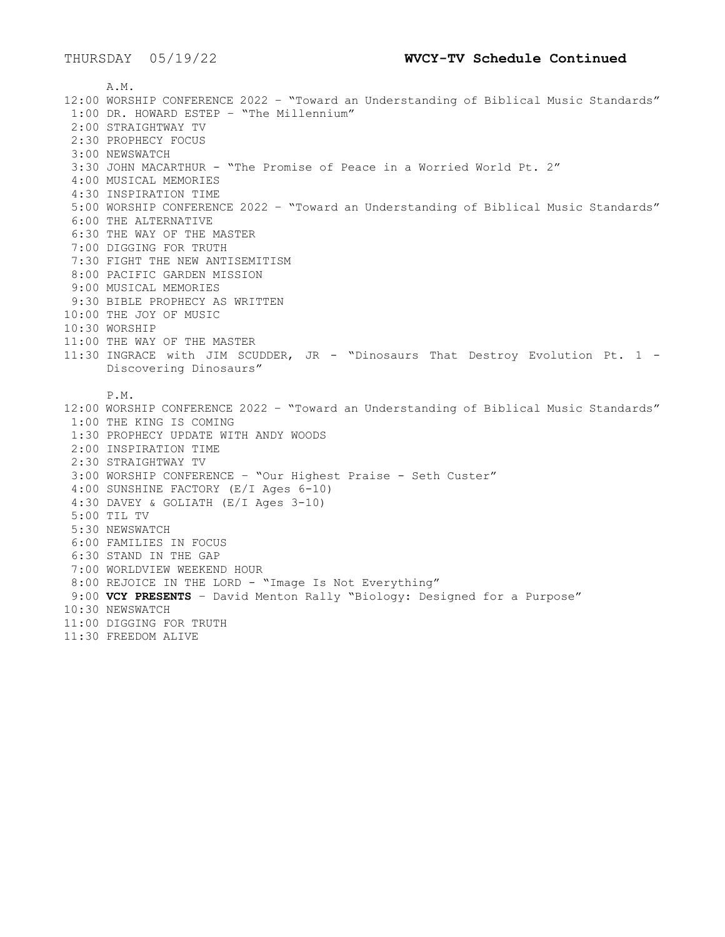A.M. 12:00 WORSHIP CONFERENCE 2022 – "Toward an Understanding of Biblical Music Standards" 1:00 DR. HOWARD ESTEP – "The Millennium" 2:00 STRAIGHTWAY TV 2:30 PROPHECY FOCUS 3:00 NEWSWATCH 3:30 JOHN MACARTHUR - "The Promise of Peace in a Worried World Pt. 2" 4:00 MUSICAL MEMORIES 4:30 INSPIRATION TIME 5:00 WORSHIP CONFERENCE 2022 – "Toward an Understanding of Biblical Music Standards" 6:00 THE ALTERNATIVE 6:30 THE WAY OF THE MASTER 7:00 DIGGING FOR TRUTH 7:30 FIGHT THE NEW ANTISEMITISM 8:00 PACIFIC GARDEN MISSION 9:00 MUSICAL MEMORIES 9:30 BIBLE PROPHECY AS WRITTEN 10:00 THE JOY OF MUSIC 10:30 WORSHIP 11:00 THE WAY OF THE MASTER 11:30 INGRACE with JIM SCUDDER, JR - "Dinosaurs That Destroy Evolution Pt. 1 - Discovering Dinosaurs" P.M. 12:00 WORSHIP CONFERENCE 2022 – "Toward an Understanding of Biblical Music Standards" 1:00 THE KING IS COMING 1:30 PROPHECY UPDATE WITH ANDY WOODS 2:00 INSPIRATION TIME 2:30 STRAIGHTWAY TV 3:00 WORSHIP CONFERENCE – "Our Highest Praise - Seth Custer" 4:00 SUNSHINE FACTORY (E/I Ages 6-10) 4:30 DAVEY & GOLIATH (E/I Ages 3-10) 5:00 TIL TV 5:30 NEWSWATCH 6:00 FAMILIES IN FOCUS 6:30 STAND IN THE GAP 7:00 WORLDVIEW WEEKEND HOUR 8:00 REJOICE IN THE LORD - "Image Is Not Everything" 9:00 **VCY PRESENTS** – David Menton Rally "Biology: Designed for a Purpose" 10:30 NEWSWATCH 11:00 DIGGING FOR TRUTH 11:30 FREEDOM ALIVE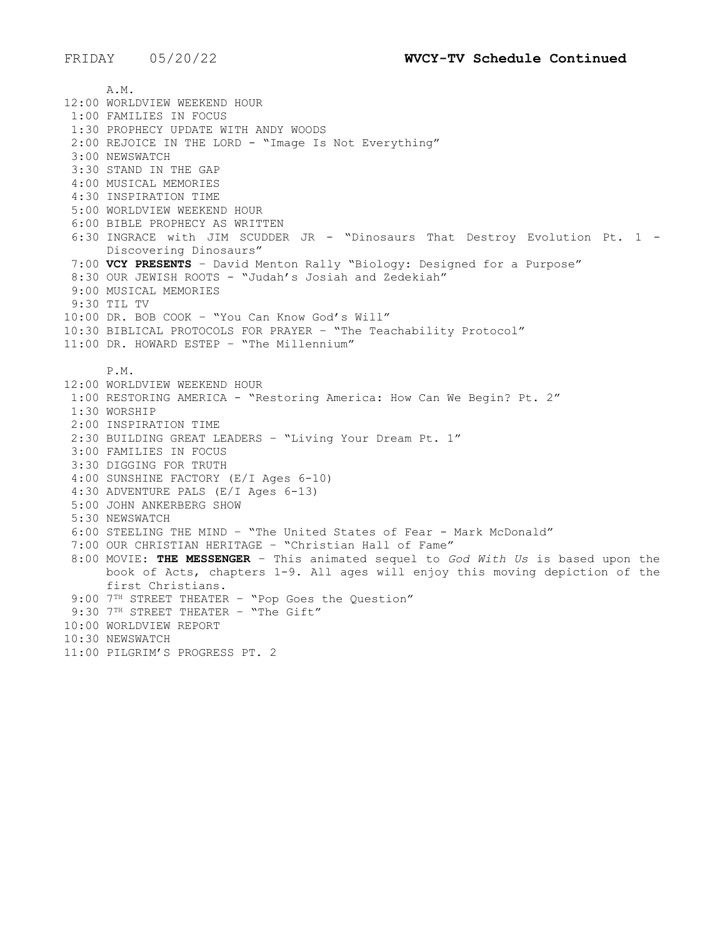A.M. 12:00 WORLDVIEW WEEKEND HOUR 1:00 FAMILIES IN FOCUS 1:30 PROPHECY UPDATE WITH ANDY WOODS 2:00 REJOICE IN THE LORD - "Image Is Not Everything" 3:00 NEWSWATCH 3:30 STAND IN THE GAP 4:00 MUSICAL MEMORIES 4:30 INSPIRATION TIME 5:00 WORLDVIEW WEEKEND HOUR 6:00 BIBLE PROPHECY AS WRITTEN 6:30 INGRACE with JIM SCUDDER JR - "Dinosaurs That Destroy Evolution Pt. 1 - Discovering Dinosaurs" 7:00 **VCY PRESENTS** – David Menton Rally "Biology: Designed for a Purpose" 8:30 OUR JEWISH ROOTS - "Judah's Josiah and Zedekiah" 9:00 MUSICAL MEMORIES 9:30 TIL TV 10:00 DR. BOB COOK – "You Can Know God's Will" 10:30 BIBLICAL PROTOCOLS FOR PRAYER – "The Teachability Protocol" 11:00 DR. HOWARD ESTEP – "The Millennium" P.M. 12:00 WORLDVIEW WEEKEND HOUR 1:00 RESTORING AMERICA - "Restoring America: How Can We Begin? Pt. 2" 1:30 WORSHIP 2:00 INSPIRATION TIME 2:30 BUILDING GREAT LEADERS – "Living Your Dream Pt. 1" 3:00 FAMILIES IN FOCUS 3:30 DIGGING FOR TRUTH 4:00 SUNSHINE FACTORY (E/I Ages 6-10) 4:30 ADVENTURE PALS (E/I Ages 6-13) 5:00 JOHN ANKERBERG SHOW 5:30 NEWSWATCH 6:00 STEELING THE MIND – "The United States of Fear - Mark McDonald" 7:00 OUR CHRISTIAN HERITAGE – "Christian Hall of Fame" 8:00 MOVIE: **THE MESSENGER** – This animated sequel to *God With Us* is based upon the book of Acts, chapters 1-9. All ages will enjoy this moving depiction of the first Christians. 9:00 7<sup>TH</sup> STREET THEATER - "Pop Goes the Question" 9:30 7TH STREET THEATER - "The Gift" 10:00 WORLDVIEW REPORT 10:30 NEWSWATCH 11:00 PILGRIM'S PROGRESS PT. 2